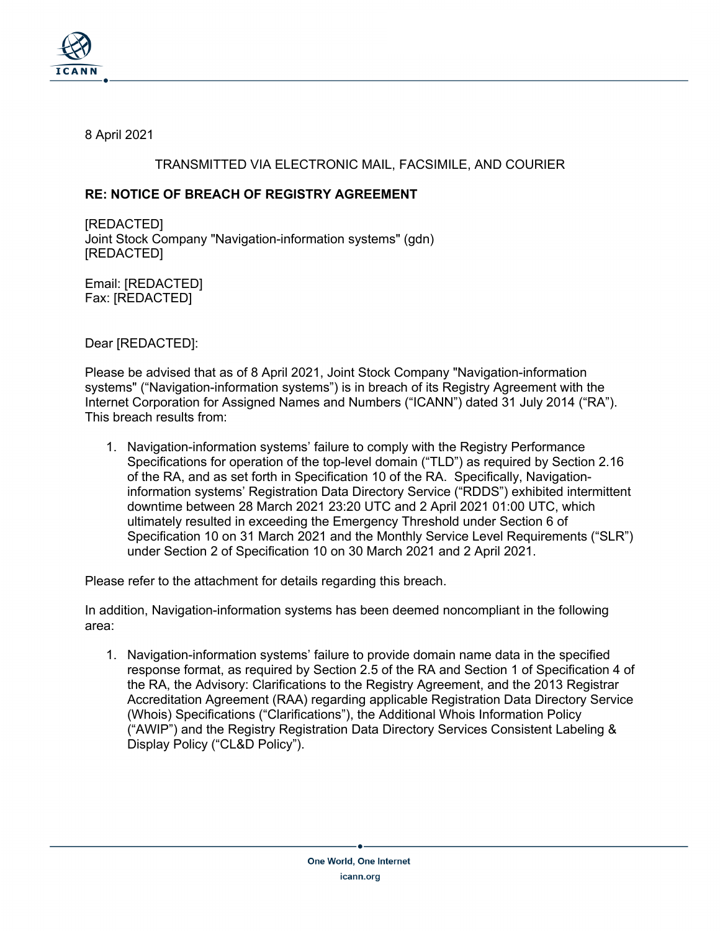

8 April 2021

### TRANSMITTED VIA ELECTRONIC MAIL, FACSIMILE, AND COURIER

# **RE: NOTICE OF BREACH OF REGISTRY AGREEMENT**

[REDACTED] Joint Stock Company "Navigation-information systems" (gdn) [REDACTED]

Email: [REDACTED] Fax: [REDACTED]

Dear [REDACTED]:

Please be advised that as of 8 April 2021, Joint Stock Company "Navigation-information systems" ("Navigation-information systems") is in breach of its Registry Agreement with the Internet Corporation for Assigned Names and Numbers ("ICANN") dated 31 July 2014 ("RA"). This breach results from:

1. Navigation-information systems' failure to comply with the Registry Performance Specifications for operation of the top-level domain ("TLD") as required by Section 2.16 of the RA, and as set forth in Specification 10 of the RA. Specifically, Navigationinformation systems' Registration Data Directory Service ("RDDS") exhibited intermittent downtime between 28 March 2021 23:20 UTC and 2 April 2021 01:00 UTC, which ultimately resulted in exceeding the Emergency Threshold under Section 6 of Specification 10 on 31 March 2021 and the Monthly Service Level Requirements ("SLR") under Section 2 of Specification 10 on 30 March 2021 and 2 April 2021.

Please refer to the attachment for details regarding this breach.

In addition, Navigation-information systems has been deemed noncompliant in the following area:

1. Navigation-information systems' failure to provide domain name data in the specified response format, as required by Section 2.5 of the RA and Section 1 of Specification 4 of the RA, the Advisory: Clarifications to the Registry Agreement, and the 2013 Registrar Accreditation Agreement (RAA) regarding applicable Registration Data Directory Service (Whois) Specifications ("Clarifications"), the Additional Whois Information Policy ("AWIP") and the Registry Registration Data Directory Services Consistent Labeling & Display Policy ("CL&D Policy").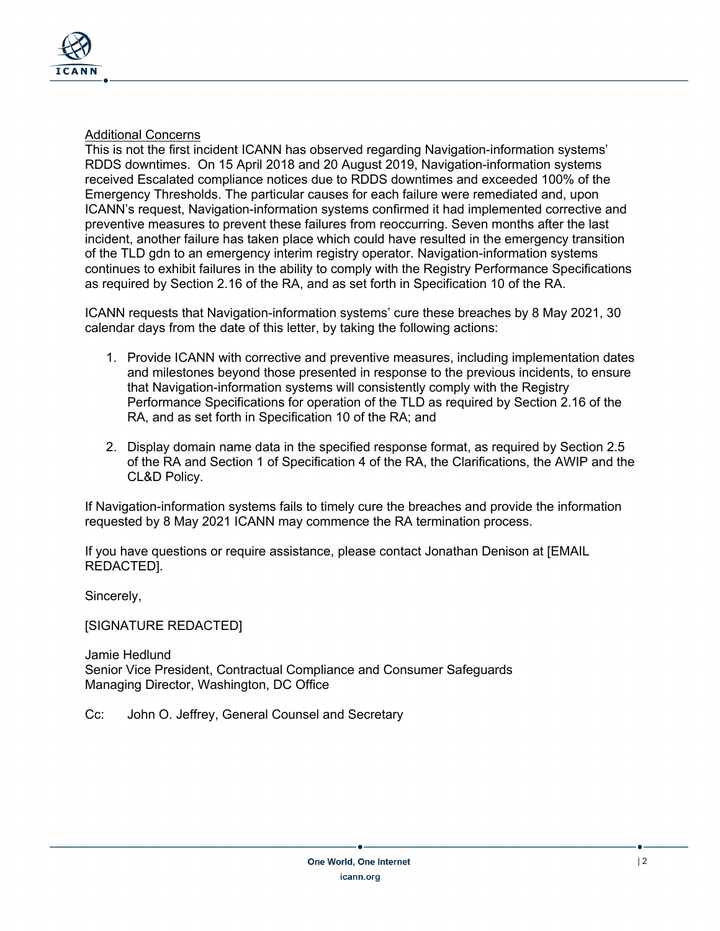

### Additional Concerns

This is not the first incident ICANN has observed regarding Navigation-information systems' RDDS downtimes. On 15 April 2018 and 20 August 2019, Navigation-information systems received Escalated compliance notices due to RDDS downtimes and exceeded 100% of the Emergency Thresholds. The particular causes for each failure were remediated and, upon ICANN's request, Navigation-information systems confirmed it had implemented corrective and preventive measures to prevent these failures from reoccurring. Seven months after the last incident, another failure has taken place which could have resulted in the emergency transition of the TLD gdn to an emergency interim registry operator. Navigation-information systems continues to exhibit failures in the ability to comply with the Registry Performance Specifications as required by Section 2.16 of the RA, and as set forth in Specification 10 of the RA.

ICANN requests that Navigation-information systems' cure these breaches by 8 May 2021, 30 calendar days from the date of this letter, by taking the following actions:

- 1. Provide ICANN with corrective and preventive measures, including implementation dates and milestones beyond those presented in response to the previous incidents, to ensure that Navigation-information systems will consistently comply with the Registry Performance Specifications for operation of the TLD as required by Section 2.16 of the RA, and as set forth in Specification 10 of the RA; and
- 2. Display domain name data in the specified response format, as required by Section 2.5 of the RA and Section 1 of Specification 4 of the RA, the Clarifications, the AWIP and the CL&D Policy.

If Navigation-information systems fails to timely cure the breaches and provide the information requested by 8 May 2021 ICANN may commence the RA termination process.

If you have questions or require assistance, please contact Jonathan Denison at [EMAIL REDACTED].

Sincerely,

[SIGNATURE REDACTED]

Jamie Hedlund Senior Vice President, Contractual Compliance and Consumer Safeguards Managing Director, Washington, DC Office

Cc: John O. Jeffrey, General Counsel and Secretary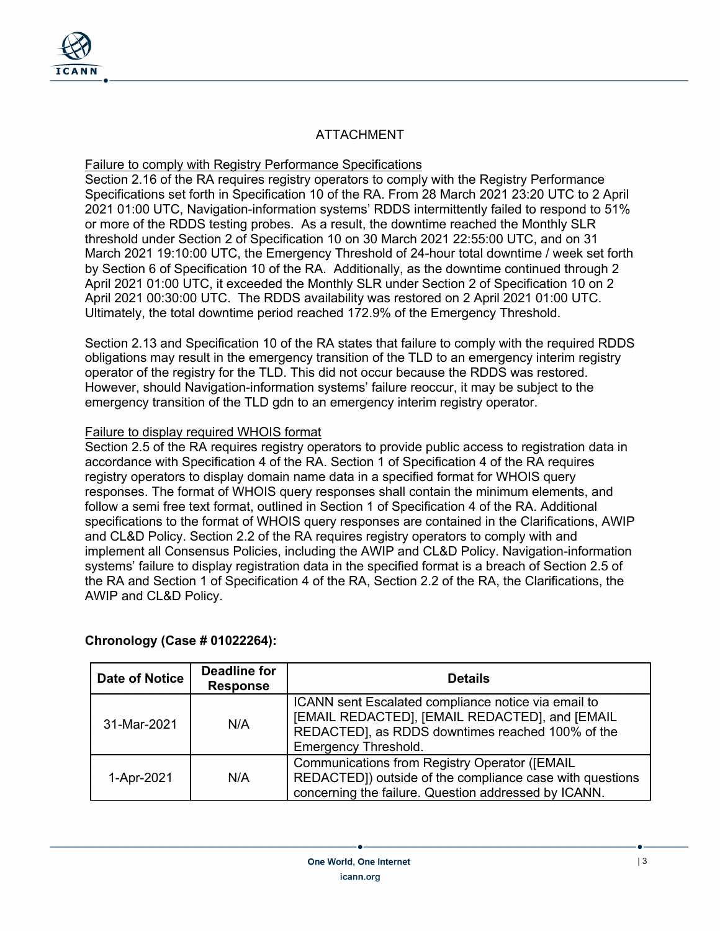

# ATTACHMENT

#### Failure to comply with Registry Performance Specifications

Section 2.16 of the RA requires registry operators to comply with the Registry Performance Specifications set forth in Specification 10 of the RA. From 28 March 2021 23:20 UTC to 2 April 2021 01:00 UTC, Navigation-information systems' RDDS intermittently failed to respond to 51% or more of the RDDS testing probes. As a result, the downtime reached the Monthly SLR threshold under Section 2 of Specification 10 on 30 March 2021 22:55:00 UTC, and on 31 March 2021 19:10:00 UTC, the Emergency Threshold of 24-hour total downtime / week set forth by Section 6 of Specification 10 of the RA. Additionally, as the downtime continued through 2 April 2021 01:00 UTC, it exceeded the Monthly SLR under Section 2 of Specification 10 on 2 April 2021 00:30:00 UTC. The RDDS availability was restored on 2 April 2021 01:00 UTC. Ultimately, the total downtime period reached 172.9% of the Emergency Threshold.

Section 2.13 and Specification 10 of the RA states that failure to comply with the required RDDS obligations may result in the emergency transition of the TLD to an emergency interim registry operator of the registry for the TLD. This did not occur because the RDDS was restored. However, should Navigation-information systems' failure reoccur, it may be subject to the emergency transition of the TLD gdn to an emergency interim registry operator.

#### Failure to display required WHOIS format

Section 2.5 of the RA requires registry operators to provide public access to registration data in accordance with Specification 4 of the RA. Section 1 of Specification 4 of the RA requires registry operators to display domain name data in a specified format for WHOIS query responses. The format of WHOIS query responses shall contain the minimum elements, and follow a semi free text format, outlined in Section 1 of Specification 4 of the RA. Additional specifications to the format of WHOIS query responses are contained in the Clarifications, AWIP and CL&D Policy. Section 2.2 of the RA requires registry operators to comply with and implement all Consensus Policies, including the AWIP and CL&D Policy. Navigation-information systems' failure to display registration data in the specified format is a breach of Section 2.5 of the RA and Section 1 of Specification 4 of the RA, Section 2.2 of the RA, the Clarifications, the AWIP and CL&D Policy.

#### **Chronology (Case # 01022264):**

| <b>Date of Notice</b> | <b>Deadline for</b><br><b>Response</b> | <b>Details</b>                                                                                                                                                                    |
|-----------------------|----------------------------------------|-----------------------------------------------------------------------------------------------------------------------------------------------------------------------------------|
| 31-Mar-2021           | N/A                                    | ICANN sent Escalated compliance notice via email to<br>[EMAIL REDACTED], [EMAIL REDACTED], and [EMAIL<br>REDACTED], as RDDS downtimes reached 100% of the<br>Emergency Threshold. |
| 1-Apr-2021            | N/A                                    | <b>Communications from Registry Operator ([EMAIL</b><br>REDACTED]) outside of the compliance case with questions<br>concerning the failure. Question addressed by ICANN.          |